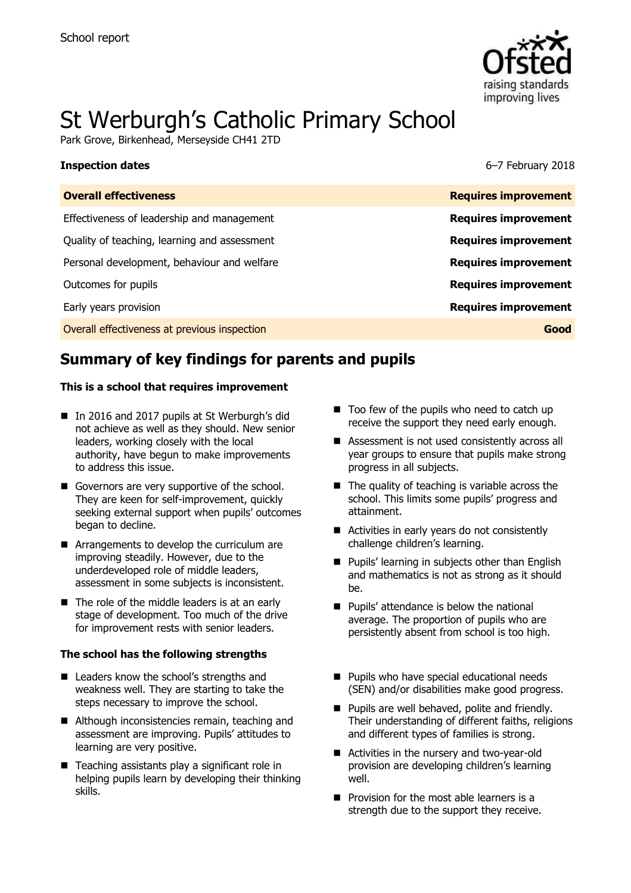

# St Werburgh's Catholic Primary School

Park Grove, Birkenhead, Merseyside CH41 2TD

#### **Inspection dates** 6–7 February 2018

| <b>Overall effectiveness</b>                 | <b>Requires improvement</b> |
|----------------------------------------------|-----------------------------|
| Effectiveness of leadership and management   | <b>Requires improvement</b> |
| Quality of teaching, learning and assessment | <b>Requires improvement</b> |
| Personal development, behaviour and welfare  | <b>Requires improvement</b> |
| Outcomes for pupils                          | <b>Requires improvement</b> |
| Early years provision                        | <b>Requires improvement</b> |
| Overall effectiveness at previous inspection | Good                        |
|                                              |                             |

# **Summary of key findings for parents and pupils**

#### **This is a school that requires improvement**

- In 2016 and 2017 pupils at St Werburgh's did not achieve as well as they should. New senior leaders, working closely with the local authority, have begun to make improvements to address this issue.
- Governors are very supportive of the school. They are keen for self-improvement, quickly seeking external support when pupils' outcomes began to decline.
- Arrangements to develop the curriculum are improving steadily. However, due to the underdeveloped role of middle leaders, assessment in some subjects is inconsistent.
- $\blacksquare$  The role of the middle leaders is at an early stage of development. Too much of the drive for improvement rests with senior leaders.

#### **The school has the following strengths**

- Leaders know the school's strengths and weakness well. They are starting to take the steps necessary to improve the school.
- Although inconsistencies remain, teaching and assessment are improving. Pupils' attitudes to learning are very positive.
- $\blacksquare$  Teaching assistants play a significant role in helping pupils learn by developing their thinking skills.
- $\blacksquare$  Too few of the pupils who need to catch up receive the support they need early enough.
- Assessment is not used consistently across all year groups to ensure that pupils make strong progress in all subjects.
- $\blacksquare$  The quality of teaching is variable across the school. This limits some pupils' progress and attainment.
- Activities in early years do not consistently challenge children's learning.
- **Pupils' learning in subjects other than English** and mathematics is not as strong as it should be.
- **Pupils' attendance is below the national** average. The proportion of pupils who are persistently absent from school is too high.
- **Pupils who have special educational needs** (SEN) and/or disabilities make good progress.
- **Pupils are well behaved, polite and friendly.** Their understanding of different faiths, religions and different types of families is strong.
- Activities in the nursery and two-year-old provision are developing children's learning well.
- $\blacksquare$  Provision for the most able learners is a strength due to the support they receive.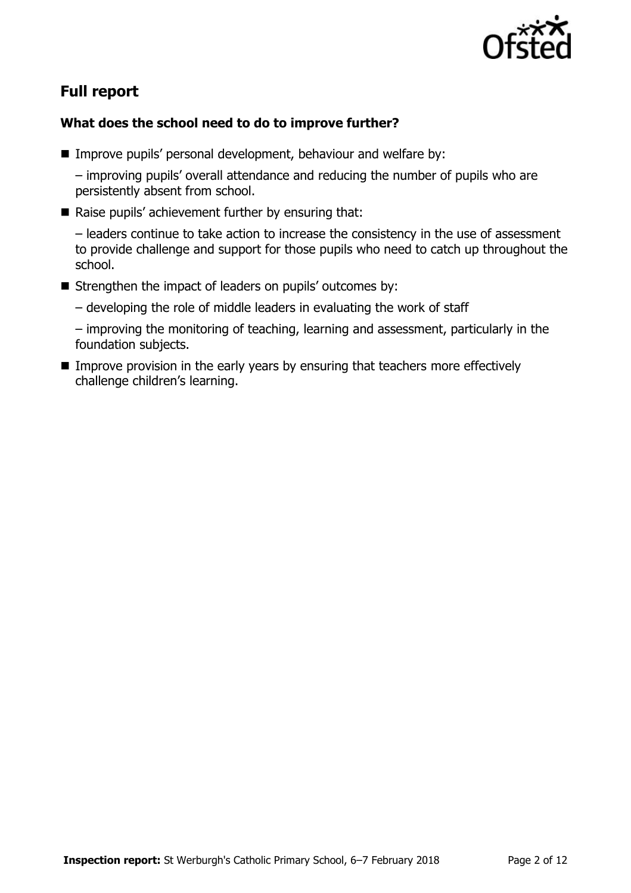

# **Full report**

### **What does the school need to do to improve further?**

■ Improve pupils' personal development, behaviour and welfare by:

– improving pupils' overall attendance and reducing the number of pupils who are persistently absent from school.

 $\blacksquare$  Raise pupils' achievement further by ensuring that:

– leaders continue to take action to increase the consistency in the use of assessment to provide challenge and support for those pupils who need to catch up throughout the school.

- Strengthen the impact of leaders on pupils' outcomes by:
	- developing the role of middle leaders in evaluating the work of staff

– improving the monitoring of teaching, learning and assessment, particularly in the foundation subjects.

Improve provision in the early years by ensuring that teachers more effectively challenge children's learning.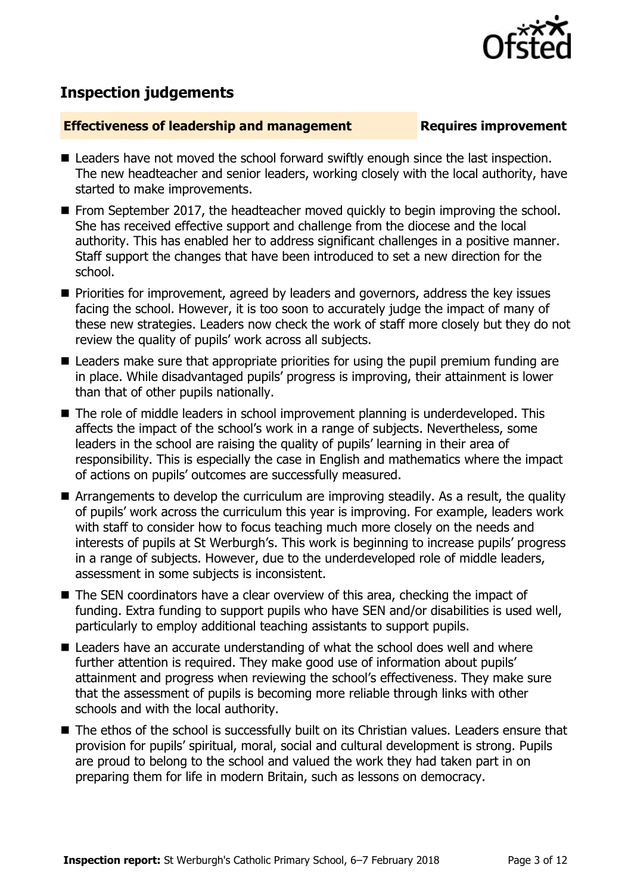

# **Inspection judgements**

#### **Effectiveness of leadership and management Requires improvement**

- Leaders have not moved the school forward swiftly enough since the last inspection. The new headteacher and senior leaders, working closely with the local authority, have started to make improvements.
- **From September 2017, the headteacher moved quickly to begin improving the school.** She has received effective support and challenge from the diocese and the local authority. This has enabled her to address significant challenges in a positive manner. Staff support the changes that have been introduced to set a new direction for the school.
- **Priorities for improvement, agreed by leaders and governors, address the key issues** facing the school. However, it is too soon to accurately judge the impact of many of these new strategies. Leaders now check the work of staff more closely but they do not review the quality of pupils' work across all subjects.
- Leaders make sure that appropriate priorities for using the pupil premium funding are in place. While disadvantaged pupils' progress is improving, their attainment is lower than that of other pupils nationally.
- The role of middle leaders in school improvement planning is underdeveloped. This affects the impact of the school's work in a range of subjects. Nevertheless, some leaders in the school are raising the quality of pupils' learning in their area of responsibility. This is especially the case in English and mathematics where the impact of actions on pupils' outcomes are successfully measured.
- Arrangements to develop the curriculum are improving steadily. As a result, the quality of pupils' work across the curriculum this year is improving. For example, leaders work with staff to consider how to focus teaching much more closely on the needs and interests of pupils at St Werburgh's. This work is beginning to increase pupils' progress in a range of subjects. However, due to the underdeveloped role of middle leaders, assessment in some subjects is inconsistent.
- The SEN coordinators have a clear overview of this area, checking the impact of funding. Extra funding to support pupils who have SEN and/or disabilities is used well, particularly to employ additional teaching assistants to support pupils.
- Leaders have an accurate understanding of what the school does well and where further attention is required. They make good use of information about pupils' attainment and progress when reviewing the school's effectiveness. They make sure that the assessment of pupils is becoming more reliable through links with other schools and with the local authority.
- The ethos of the school is successfully built on its Christian values. Leaders ensure that provision for pupils' spiritual, moral, social and cultural development is strong. Pupils are proud to belong to the school and valued the work they had taken part in on preparing them for life in modern Britain, such as lessons on democracy.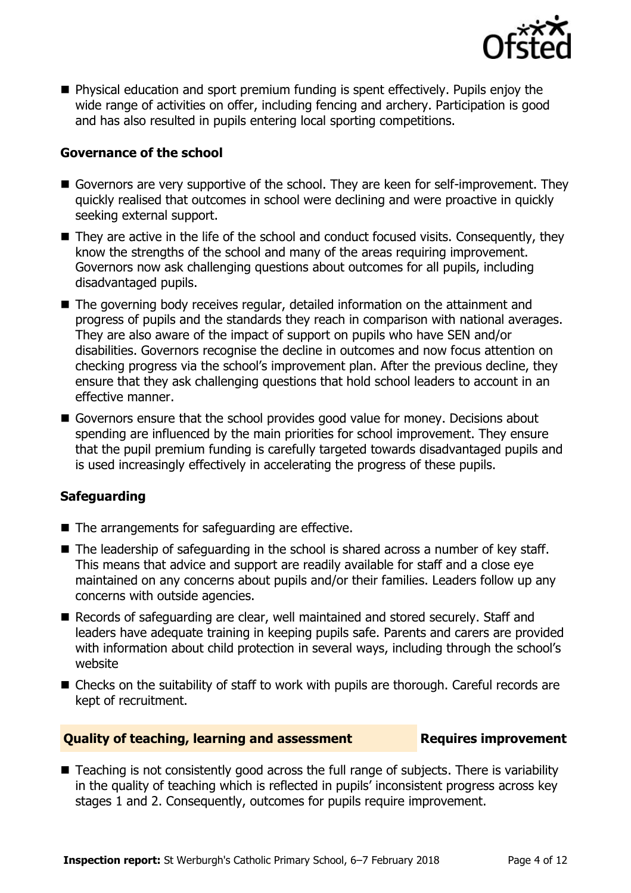

 Physical education and sport premium funding is spent effectively. Pupils enjoy the wide range of activities on offer, including fencing and archery. Participation is good and has also resulted in pupils entering local sporting competitions.

#### **Governance of the school**

- Governors are very supportive of the school. They are keen for self-improvement. They quickly realised that outcomes in school were declining and were proactive in quickly seeking external support.
- They are active in the life of the school and conduct focused visits. Consequently, they know the strengths of the school and many of the areas requiring improvement. Governors now ask challenging questions about outcomes for all pupils, including disadvantaged pupils.
- The governing body receives regular, detailed information on the attainment and progress of pupils and the standards they reach in comparison with national averages. They are also aware of the impact of support on pupils who have SEN and/or disabilities. Governors recognise the decline in outcomes and now focus attention on checking progress via the school's improvement plan. After the previous decline, they ensure that they ask challenging questions that hold school leaders to account in an effective manner.
- Governors ensure that the school provides good value for money. Decisions about spending are influenced by the main priorities for school improvement. They ensure that the pupil premium funding is carefully targeted towards disadvantaged pupils and is used increasingly effectively in accelerating the progress of these pupils.

### **Safeguarding**

- $\blacksquare$  The arrangements for safeguarding are effective.
- The leadership of safeguarding in the school is shared across a number of key staff. This means that advice and support are readily available for staff and a close eye maintained on any concerns about pupils and/or their families. Leaders follow up any concerns with outside agencies.
- Records of safeguarding are clear, well maintained and stored securely. Staff and leaders have adequate training in keeping pupils safe. Parents and carers are provided with information about child protection in several ways, including through the school's website
- Checks on the suitability of staff to work with pupils are thorough. Careful records are kept of recruitment.

#### **Quality of teaching, learning and assessment Requires improvement**

■ Teaching is not consistently good across the full range of subjects. There is variability in the quality of teaching which is reflected in pupils' inconsistent progress across key stages 1 and 2. Consequently, outcomes for pupils require improvement.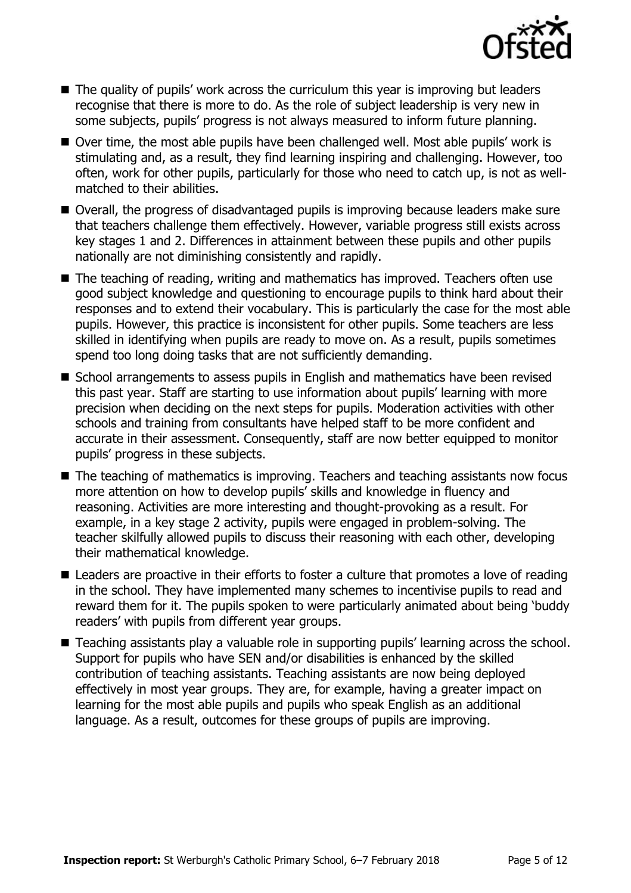

- The quality of pupils' work across the curriculum this year is improving but leaders recognise that there is more to do. As the role of subject leadership is very new in some subjects, pupils' progress is not always measured to inform future planning.
- Over time, the most able pupils have been challenged well. Most able pupils' work is stimulating and, as a result, they find learning inspiring and challenging. However, too often, work for other pupils, particularly for those who need to catch up, is not as wellmatched to their abilities.
- Overall, the progress of disadvantaged pupils is improving because leaders make sure that teachers challenge them effectively. However, variable progress still exists across key stages 1 and 2. Differences in attainment between these pupils and other pupils nationally are not diminishing consistently and rapidly.
- The teaching of reading, writing and mathematics has improved. Teachers often use good subject knowledge and questioning to encourage pupils to think hard about their responses and to extend their vocabulary. This is particularly the case for the most able pupils. However, this practice is inconsistent for other pupils. Some teachers are less skilled in identifying when pupils are ready to move on. As a result, pupils sometimes spend too long doing tasks that are not sufficiently demanding.
- School arrangements to assess pupils in English and mathematics have been revised this past year. Staff are starting to use information about pupils' learning with more precision when deciding on the next steps for pupils. Moderation activities with other schools and training from consultants have helped staff to be more confident and accurate in their assessment. Consequently, staff are now better equipped to monitor pupils' progress in these subjects.
- The teaching of mathematics is improving. Teachers and teaching assistants now focus more attention on how to develop pupils' skills and knowledge in fluency and reasoning. Activities are more interesting and thought-provoking as a result. For example, in a key stage 2 activity, pupils were engaged in problem-solving. The teacher skilfully allowed pupils to discuss their reasoning with each other, developing their mathematical knowledge.
- Leaders are proactive in their efforts to foster a culture that promotes a love of reading in the school. They have implemented many schemes to incentivise pupils to read and reward them for it. The pupils spoken to were particularly animated about being 'buddy readers' with pupils from different year groups.
- Teaching assistants play a valuable role in supporting pupils' learning across the school. Support for pupils who have SEN and/or disabilities is enhanced by the skilled contribution of teaching assistants. Teaching assistants are now being deployed effectively in most year groups. They are, for example, having a greater impact on learning for the most able pupils and pupils who speak English as an additional language. As a result, outcomes for these groups of pupils are improving.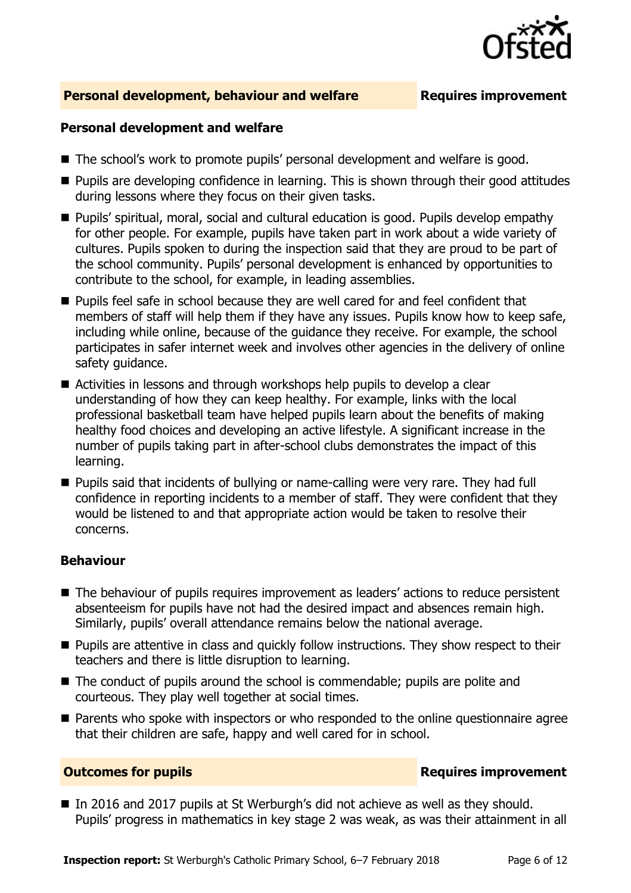

#### **Personal development, behaviour and welfare <b>Requires improvement**

#### **Personal development and welfare**

- The school's work to promote pupils' personal development and welfare is good.
- Pupils are developing confidence in learning. This is shown through their good attitudes during lessons where they focus on their given tasks.
- Pupils' spiritual, moral, social and cultural education is good. Pupils develop empathy for other people. For example, pupils have taken part in work about a wide variety of cultures. Pupils spoken to during the inspection said that they are proud to be part of the school community. Pupils' personal development is enhanced by opportunities to contribute to the school, for example, in leading assemblies.
- **Pupils feel safe in school because they are well cared for and feel confident that** members of staff will help them if they have any issues. Pupils know how to keep safe, including while online, because of the guidance they receive. For example, the school participates in safer internet week and involves other agencies in the delivery of online safety guidance.
- Activities in lessons and through workshops help pupils to develop a clear understanding of how they can keep healthy. For example, links with the local professional basketball team have helped pupils learn about the benefits of making healthy food choices and developing an active lifestyle. A significant increase in the number of pupils taking part in after-school clubs demonstrates the impact of this learning.
- Pupils said that incidents of bullying or name-calling were very rare. They had full confidence in reporting incidents to a member of staff. They were confident that they would be listened to and that appropriate action would be taken to resolve their concerns.

#### **Behaviour**

- The behaviour of pupils requires improvement as leaders' actions to reduce persistent absenteeism for pupils have not had the desired impact and absences remain high. Similarly, pupils' overall attendance remains below the national average.
- **Pupils are attentive in class and quickly follow instructions. They show respect to their** teachers and there is little disruption to learning.
- The conduct of pupils around the school is commendable; pupils are polite and courteous. They play well together at social times.
- **Parents who spoke with inspectors or who responded to the online questionnaire agree** that their children are safe, happy and well cared for in school.

### **Outcomes for pupils Requires improvement**

In 2016 and 2017 pupils at St Werburgh's did not achieve as well as they should. Pupils' progress in mathematics in key stage 2 was weak, as was their attainment in all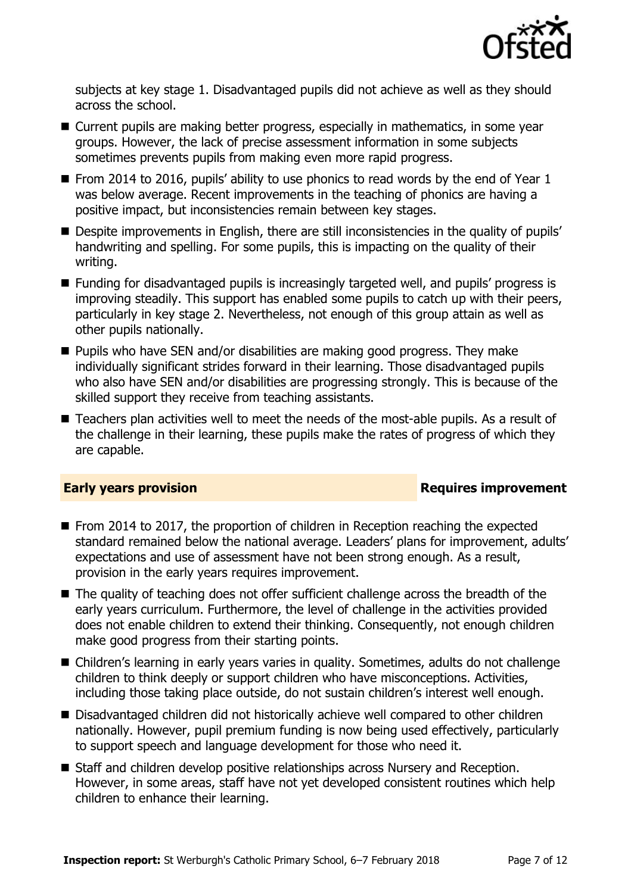

subjects at key stage 1. Disadvantaged pupils did not achieve as well as they should across the school.

- Current pupils are making better progress, especially in mathematics, in some year groups. However, the lack of precise assessment information in some subjects sometimes prevents pupils from making even more rapid progress.
- From 2014 to 2016, pupils' ability to use phonics to read words by the end of Year  $1$ was below average. Recent improvements in the teaching of phonics are having a positive impact, but inconsistencies remain between key stages.
- Despite improvements in English, there are still inconsistencies in the quality of pupils' handwriting and spelling. For some pupils, this is impacting on the quality of their writing.
- Funding for disadvantaged pupils is increasingly targeted well, and pupils' progress is improving steadily. This support has enabled some pupils to catch up with their peers, particularly in key stage 2. Nevertheless, not enough of this group attain as well as other pupils nationally.
- **Pupils who have SEN and/or disabilities are making good progress. They make** individually significant strides forward in their learning. Those disadvantaged pupils who also have SEN and/or disabilities are progressing strongly. This is because of the skilled support they receive from teaching assistants.
- Teachers plan activities well to meet the needs of the most-able pupils. As a result of the challenge in their learning, these pupils make the rates of progress of which they are capable.

### **Early years provision**

- From 2014 to 2017, the proportion of children in Reception reaching the expected standard remained below the national average. Leaders' plans for improvement, adults' expectations and use of assessment have not been strong enough. As a result, provision in the early years requires improvement.
- The quality of teaching does not offer sufficient challenge across the breadth of the early years curriculum. Furthermore, the level of challenge in the activities provided does not enable children to extend their thinking. Consequently, not enough children make good progress from their starting points.
- Children's learning in early years varies in quality. Sometimes, adults do not challenge children to think deeply or support children who have misconceptions. Activities, including those taking place outside, do not sustain children's interest well enough.
- Disadvantaged children did not historically achieve well compared to other children nationally. However, pupil premium funding is now being used effectively, particularly to support speech and language development for those who need it.
- Staff and children develop positive relationships across Nursery and Reception. However, in some areas, staff have not yet developed consistent routines which help children to enhance their learning.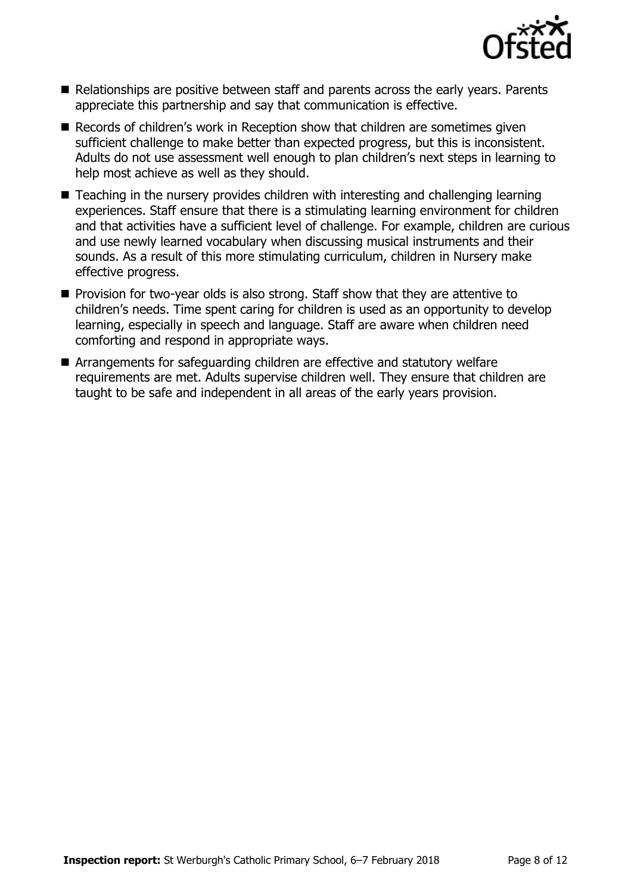

- Relationships are positive between staff and parents across the early years. Parents appreciate this partnership and say that communication is effective.
- Records of children's work in Reception show that children are sometimes given sufficient challenge to make better than expected progress, but this is inconsistent. Adults do not use assessment well enough to plan children's next steps in learning to help most achieve as well as they should.
- Teaching in the nursery provides children with interesting and challenging learning experiences. Staff ensure that there is a stimulating learning environment for children and that activities have a sufficient level of challenge. For example, children are curious and use newly learned vocabulary when discussing musical instruments and their sounds. As a result of this more stimulating curriculum, children in Nursery make effective progress.
- **Provision for two-year olds is also strong. Staff show that they are attentive to** children's needs. Time spent caring for children is used as an opportunity to develop learning, especially in speech and language. Staff are aware when children need comforting and respond in appropriate ways.
- Arrangements for safeguarding children are effective and statutory welfare requirements are met. Adults supervise children well. They ensure that children are taught to be safe and independent in all areas of the early years provision.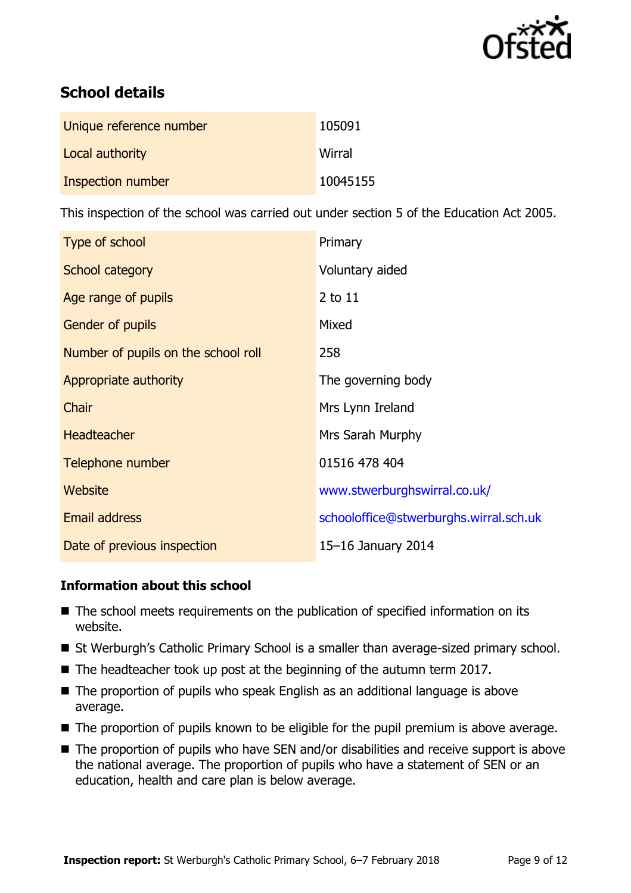

# **School details**

| Unique reference number  | 105091   |
|--------------------------|----------|
| Local authority          | Wirral   |
| <b>Inspection number</b> | 10045155 |

This inspection of the school was carried out under section 5 of the Education Act 2005.

| Type of school                      | Primary                                |
|-------------------------------------|----------------------------------------|
| School category                     | Voluntary aided                        |
| Age range of pupils                 | 2 to 11                                |
| Gender of pupils                    | Mixed                                  |
| Number of pupils on the school roll | 258                                    |
| Appropriate authority               | The governing body                     |
| Chair                               | Mrs Lynn Ireland                       |
| <b>Headteacher</b>                  | Mrs Sarah Murphy                       |
| Telephone number                    | 01516 478 404                          |
| Website                             | www.stwerburghswirral.co.uk/           |
| Email address                       | schooloffice@stwerburghs.wirral.sch.uk |
| Date of previous inspection         | 15-16 January 2014                     |

### **Information about this school**

- The school meets requirements on the publication of specified information on its website.
- St Werburgh's Catholic Primary School is a smaller than average-sized primary school.
- The headteacher took up post at the beginning of the autumn term 2017.
- The proportion of pupils who speak English as an additional language is above average.
- The proportion of pupils known to be eligible for the pupil premium is above average.
- The proportion of pupils who have SEN and/or disabilities and receive support is above the national average. The proportion of pupils who have a statement of SEN or an education, health and care plan is below average.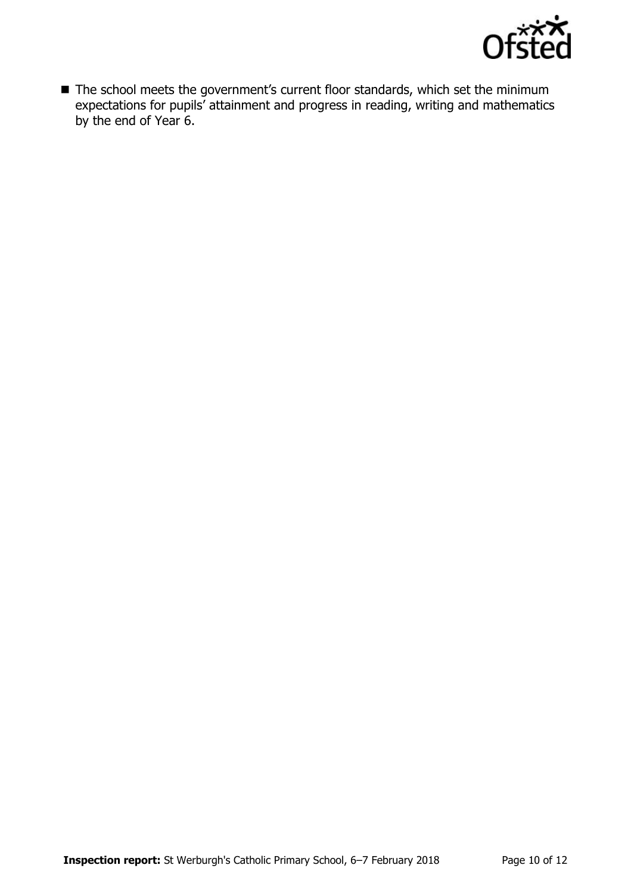

■ The school meets the government's current floor standards, which set the minimum expectations for pupils' attainment and progress in reading, writing and mathematics by the end of Year 6.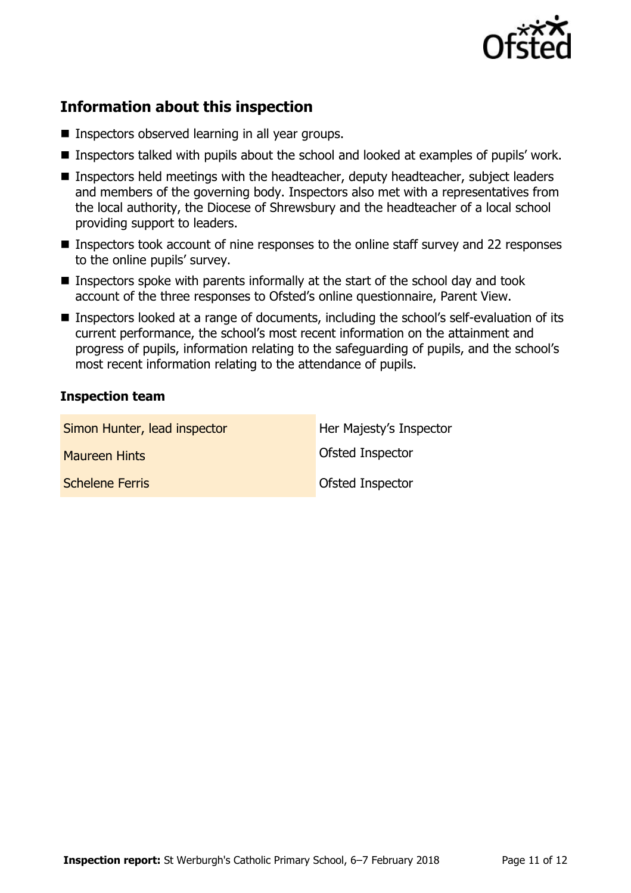

# **Information about this inspection**

- **Inspectors observed learning in all year groups.**
- **Inspectors talked with pupils about the school and looked at examples of pupils' work.**
- Inspectors held meetings with the headteacher, deputy headteacher, subject leaders and members of the governing body. Inspectors also met with a representatives from the local authority, the Diocese of Shrewsbury and the headteacher of a local school providing support to leaders.
- Inspectors took account of nine responses to the online staff survey and 22 responses to the online pupils' survey.
- Inspectors spoke with parents informally at the start of the school day and took account of the three responses to Ofsted's online questionnaire, Parent View.
- Inspectors looked at a range of documents, including the school's self-evaluation of its current performance, the school's most recent information on the attainment and progress of pupils, information relating to the safeguarding of pupils, and the school's most recent information relating to the attendance of pupils.

#### **Inspection team**

| Simon Hunter, lead inspector | Her Majesty's Inspector |
|------------------------------|-------------------------|
| <b>Maureen Hints</b>         | Ofsted Inspector        |
| <b>Schelene Ferris</b>       | <b>Ofsted Inspector</b> |